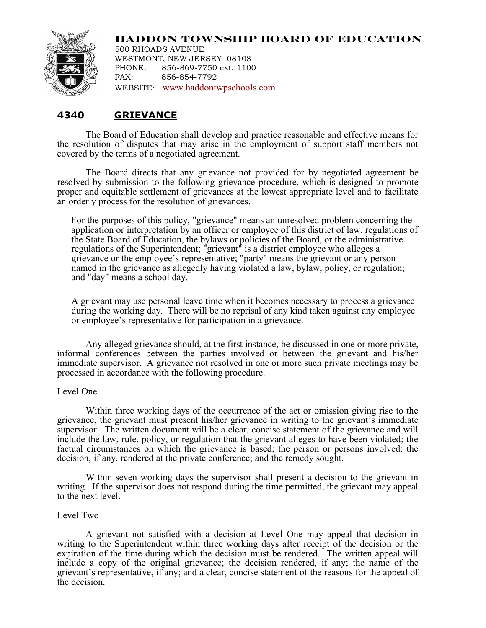

**HADDON TOWNSHIP BOARD OF EDUCATION**

500 RHOADS AVENUE WESTMONT, NEW JERSEY 08108 PHONE: 856-869-7750 ext. 1100 FAX: 856-854-7792 WEBSITE: www.haddontwpschools.com

## **4340 GRIEVANCE**

The Board of Education shall develop and practice reasonable and effective means for the resolution of disputes that may arise in the employment of support staff members not covered by the terms of a negotiated agreement.

The Board directs that any grievance not provided for by negotiated agreement be resolved by submission to the following grievance procedure, which is designed to promote proper and equitable settlement of grievances at the lowest appropriate level and to facilitate an orderly process for the resolution of grievances.

For the purposes of this policy, "grievance" means an unresolved problem concerning the application or interpretation by an officer or employee of this district of law, regulations of the State Board of Education, the bylaws or policies of the Board, or the administrative regulations of the Superintendent; "grievant" is a district employee who alleges a grievance or the employee's representative; "party" means the grievant or any person named in the grievance as allegedly having violated a law, bylaw, policy, or regulation; and "day" means a school day.

A grievant may use personal leave time when it becomes necessary to process a grievance during the working day. There will be no reprisal of any kind taken against any employee or employee's representative for participation in a grievance.

Any alleged grievance should, at the first instance, be discussed in one or more private, informal conferences between the parties involved or between the grievant and his/her immediate supervisor. A grievance not resolved in one or more such private meetings may be processed in accordance with the following procedure.

## Level One

Within three working days of the occurrence of the act or omission giving rise to the grievance, the grievant must present his/her grievance in writing to the grievant's immediate supervisor. The written document will be a clear, concise statement of the grievance and will include the law, rule, policy, or regulation that the grievant alleges to have been violated; the factual circumstances on which the grievance is based; the person or persons involved; the decision, if any, rendered at the private conference; and the remedy sought.

Within seven working days the supervisor shall present a decision to the grievant in writing. If the supervisor does not respond during the time permitted, the grievant may appeal to the next level.

## Level Two

A grievant not satisfied with a decision at Level One may appeal that decision in writing to the Superintendent within three working days after receipt of the decision or the expiration of the time during which the decision must be rendered. The written appeal will include a copy of the original grievance; the decision rendered, if any; the name of the grievant's representative, if any; and a clear, concise statement of the reasons for the appeal of the decision.